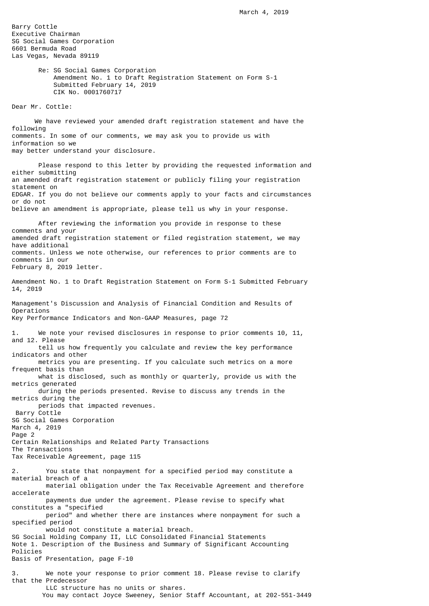Barry Cottle Executive Chairman SG Social Games Corporation 6601 Bermuda Road Las Vegas, Nevada 89119

> Re: SG Social Games Corporation Amendment No. 1 to Draft Registration Statement on Form S-1 Submitted February 14, 2019 CIK No. 0001760717

Dear Mr. Cottle:

 We have reviewed your amended draft registration statement and have the following comments. In some of our comments, we may ask you to provide us with information so we may better understand your disclosure.

 Please respond to this letter by providing the requested information and either submitting an amended draft registration statement or publicly filing your registration statement on EDGAR. If you do not believe our comments apply to your facts and circumstances or do not believe an amendment is appropriate, please tell us why in your response.

 After reviewing the information you provide in response to these comments and your amended draft registration statement or filed registration statement, we may have additional comments. Unless we note otherwise, our references to prior comments are to comments in our February 8, 2019 letter.

Amendment No. 1 to Draft Registration Statement on Form S-1 Submitted February 14, 2019

Management's Discussion and Analysis of Financial Condition and Results of Operations Key Performance Indicators and Non-GAAP Measures, page 72

We note your revised disclosures in response to prior comments 10, 11, and 12. Please tell us how frequently you calculate and review the key performance indicators and other metrics you are presenting. If you calculate such metrics on a more frequent basis than what is disclosed, such as monthly or quarterly, provide us with the metrics generated during the periods presented. Revise to discuss any trends in the metrics during the periods that impacted revenues. Barry Cottle SG Social Games Corporation March 4, 2019 Page 2 Certain Relationships and Related Party Transactions The Transactions Tax Receivable Agreement, page 115 2. You state that nonpayment for a specified period may constitute a material breach of a material obligation under the Tax Receivable Agreement and therefore accelerate payments due under the agreement. Please revise to specify what constitutes a "specified period" and whether there are instances where nonpayment for such a specified period would not constitute a material breach. SG Social Holding Company II, LLC Consolidated Financial Statements Note 1. Description of the Business and Summary of Significant Accounting Policies Basis of Presentation, page F-10 3. We note your response to prior comment 18. Please revise to clarify

that the Predecessor LLC structure has no units or shares. You may contact Joyce Sweeney, Senior Staff Accountant, at 202-551-3449